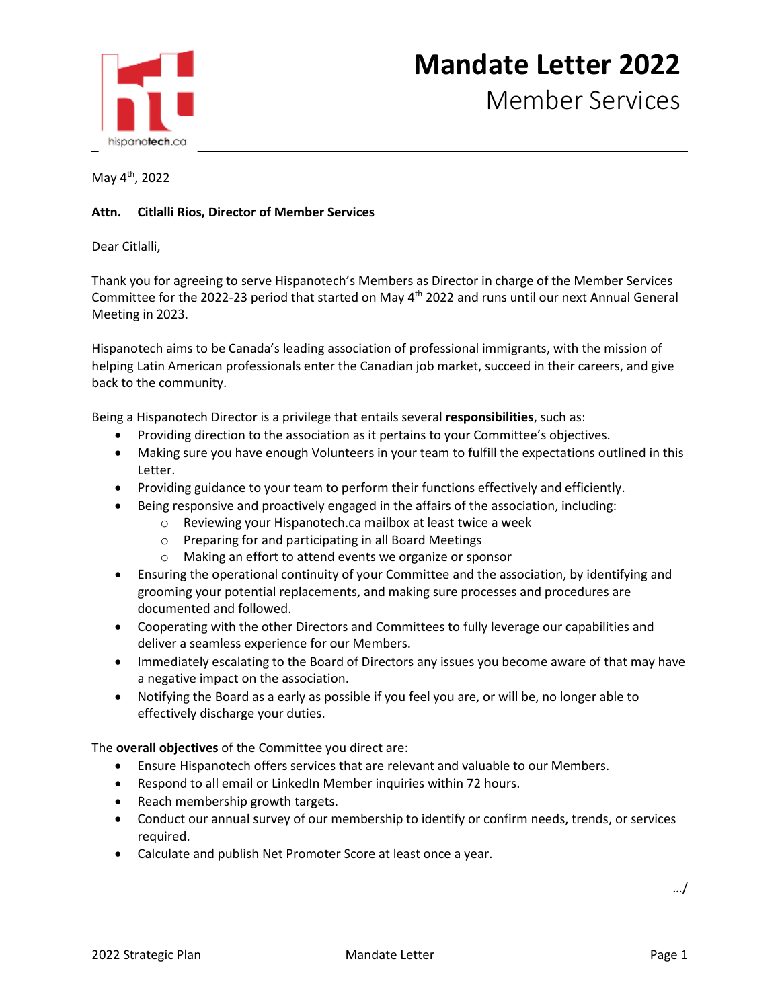

## **Mandate Letter 2022**

Member Services

May 4th, 2022

## **Attn. Citlalli Rios, Director of Member Services**

Dear Citlalli,

Thank you for agreeing to serve Hispanotech's Members as Director in charge of the Member Services Committee for the 2022-23 period that started on May 4<sup>th</sup> 2022 and runs until our next Annual General Meeting in 2023.

Hispanotech aims to be Canada's leading association of professional immigrants, with the mission of helping Latin American professionals enter the Canadian job market, succeed in their careers, and give back to the community.

Being a Hispanotech Director is a privilege that entails several **responsibilities**, such as:

- Providing direction to the association as it pertains to your Committee's objectives.
- Making sure you have enough Volunteers in your team to fulfill the expectations outlined in this Letter.
- Providing guidance to your team to perform their functions effectively and efficiently.
- Being responsive and proactively engaged in the affairs of the association, including:
	- o Reviewing your Hispanotech.ca mailbox at least twice a week
	- o Preparing for and participating in all Board Meetings
	- o Making an effort to attend events we organize or sponsor
- Ensuring the operational continuity of your Committee and the association, by identifying and grooming your potential replacements, and making sure processes and procedures are documented and followed.
- Cooperating with the other Directors and Committees to fully leverage our capabilities and deliver a seamless experience for our Members.
- Immediately escalating to the Board of Directors any issues you become aware of that may have a negative impact on the association.
- Notifying the Board as a early as possible if you feel you are, or will be, no longer able to effectively discharge your duties.

The **overall objectives** of the Committee you direct are:

- Ensure Hispanotech offers services that are relevant and valuable to our Members.
- Respond to all email or LinkedIn Member inquiries within 72 hours.
- Reach membership growth targets.
- Conduct our annual survey of our membership to identify or confirm needs, trends, or services required.
- Calculate and publish Net Promoter Score at least once a year.